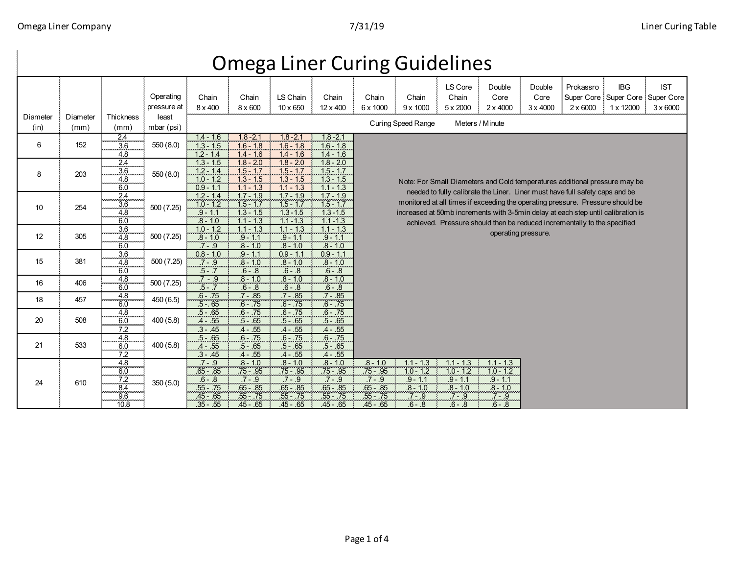## Chain 8 x 400 Chain 8 x 600 LS Chain 10 x 650 Chain 12 x 400 Chain 6 x 1000 Chain 9 x 1000 LS Core Chain 5 x 2000 Double Core 2 x 4000 Double Core 3 x 4000 Prokassro Super Core Super Core Super Core 2 x 6000 IBG 1 x 12000 IST 3 x 6000  $\frac{2.4}{3.6}$   $\frac{1.4 - 1.6}{3.6}$   $\frac{1.4 - 1.6}{3.6}$   $\frac{1.8 - 2.1}{1.3 - 1.5}$   $\frac{1.8 - 2.1}{1.6 - 1.8}$   $\frac{1.8 - 2.1}{1.6 - 1.8}$   $\frac{1.8 - 2.1}{1.6 - 1.8}$   $\frac{1.8 - 2.1}{1.6 - 1.8}$  $\frac{3.6}{4.8}$  550(8.0)  $\frac{1.3 - 1.5}{1.2 - 1.4}$  1.6 - 1.8 1.6 - 1.8 1.6 - 1.8<br>4.8 1.2 - 1.4 1.4 1.6 1.4 - 1.6 1.4 - 1.6 4.8 1.2 - 1.4 1.4 - 1.6 1.4 - 1.6 1.4 - 1.6  $\frac{2.4 \text{ m}}{3.6 \text{ m} \cdot \text{K}}$   $\frac{1.3 - 1.5}{2.14 \text{ m} \cdot \text{K}}$   $\frac{1.3 - 1.5}{2.14 \text{ m} \cdot \text{K}}$   $\frac{1.8 - 2.0}{1.5 - 1.7 \text{ m} \cdot \text{K}}$   $\frac{1.8 - 2.0}{1.5 - 1.7 \text{ m} \cdot \text{K}}$   $\frac{1.8 - 2.0}{1.5 - 1.7 \text{ m} \cdot \text{K}}$  $\begin{array}{|c|c|c|c|c|c|}\n\hline\n3.6 & 550(8.0) & 12-14 & 15-17 & 15-17 \\
\hline\n4.8 & 1.5 & 1.3 & 1.5 & 1.3 & 1.5\n\end{array}$  $\frac{4.8}{60}$   $\frac{300(0.0)}{0.9 - 1.1}$   $\frac{1.0 - 1.2}{1.1 - 1.3}$   $\frac{1.3 - 1.5}{1.1 - 1.3}$   $\frac{1.3 - 1.5}{1.1 - 1.3}$   $\frac{1.3 - 1.5}{1.1 - 1.3}$ 6.0 0.9 - 1.1 1.1 - 1.3 1.1 - 1.3 1.1 - 1.3  $\frac{2.4}{3.6}$   $\frac{1.2 - 1.4}{5.25}$   $\frac{1.2 - 1.4}{1.2 - 1.2}$   $\frac{1.7 - 1.9}{1.5 - 1.7}$   $\frac{1.7 - 1.9}{1.5 - 1.7}$   $\frac{1.7 - 1.9}{1.5 - 1.7}$   $\frac{1.7 - 1.9}{1.5 - 1.7}$  $\frac{3.6}{4.6}$   $\frac{1}{500}$  (7.25)  $\frac{1}{3}$   $\frac{1}{2}$   $\frac{1}{4}$   $\frac{2}{3}$   $\frac{1}{2}$   $\frac{1}{3}$   $\frac{1}{2}$   $\frac{1}{4}$   $\frac{1}{2}$   $\frac{1}{4}$   $\frac{1}{2}$   $\frac{1}{4}$   $\frac{1}{2}$   $\frac{1}{4}$   $\frac{1}{2}$  $\frac{4.8}{6.0}$   $\frac{300(7.25)}{8.10}$   $\frac{9-1.1}{1.1}$   $\frac{1.3}{1.5}$   $\frac{1.3}{1.1}$   $\frac{1.3}{1.1}$   $\frac{1}{1.3}$   $\frac{1}{1.1}$   $\frac{1}{1.3}$   $\frac{1}{1.1}$   $\frac{1}{1.3}$   $\frac{1}{1.1}$ 6.0 .8 - 1.0 1.1 - 1.3 1.1 -1.3 1.1 -1.3  $\begin{array}{|c|c|c|c|c|c|c|c|}\n\hline\n3.6 & .10 & .12 & .11 & .13 & .11 & .13 & .11 & .13 \\
\hline\n4.8 & .500 & (7.25) & .8 & .10 & .9 & .11 & .9 & .11 & .9 & .11\n\end{array}$ 4.8 .8 - 1.0 .9 - 1.1 .9 - 1.1 .9 - 1.1 500 (7.25) 6.0 .7 - .9 .8 - 1.0 .8 - 1.0 .8 - 1.0  $\frac{3.6}{4.8}$   $\frac{3.6}{500(7.25)}$   $\frac{0.8 - 1.0}{7 - 9}$   $\frac{0.8 - 1.1}{0.8 - 1.0}$   $\frac{0.9 - 1.1}{0.8 - 1.0}$   $\frac{0.9 - 1.1}{0.8 - 1.0}$   $\frac{0.9 - 1.1}{0.8 - 1.0}$ 4.8 .1.0 .8 - 1.0 .8 - 1.0 .8 - 1.0 .8 - 1.0 .8 - 1.0 .8 - 1.0 .8 - 1.0 .8 - 1.0 6.0 .5 - .7 .6 - .8 .6 - .8 .6 - .8  $406$   $48$   $500(7.25)$   $7 - 9$   $8 - 10$   $8 - 10$   $8 - 10$   $8 - 10$  $6.0$   $3.6 - 8$   $6.8$   $6.8$   $6.8$   $6.8$ 4.8 .6 - .75 .7 - .85 .7 - .85 .7 - .85  $6.0$   $\leftarrow$   $\leftarrow$   $\leftarrow$   $\leftarrow$   $\leftarrow$   $\leftarrow$   $\leftarrow$   $\leftarrow$   $\leftarrow$   $\leftarrow$   $\leftarrow$   $\leftarrow$   $\leftarrow$   $\leftarrow$   $\leftarrow$   $\leftarrow$   $\leftarrow$   $\leftarrow$   $\leftarrow$   $\leftarrow$   $\leftarrow$   $\leftarrow$   $\leftarrow$   $\leftarrow$   $\leftarrow$   $\leftarrow$   $\leftarrow$   $\leftarrow$   $\leftarrow$   $\leftarrow$   $\leftarrow$   $\leftarrow$   $\leftarrow$   $\leftarrow$   $\leftarrow$   $\leftarrow$ 4.8 .5 - .65 .6 - .75 .6 - .75 .6 - .75 6.0 .5 - .60 .5 .65 .5 .65 .5 .65 .5 .65 .5 .65 .5 .65 7.2 .3 - .45 .4 - .55 .4 - .55 .4 - .55 4.8 .5 - .65 .6 - .75 .6 - .75 .6 - .75  $\overline{6.0}$  ... 400 (5.8)  $\overline{4}$  - .55 ... 5 - .65 ... 5 - .65 ... 5 - .65 7.2 .3 - .45 .4 - .55 .4 - .55 .4 - .55 4.8 .7 - .9 .8 - 1.0 .8 - 1.0 .8 - 1.0 .8 - 1.0 1.1 - 1.3 1.1 - 1.3 1.1 - 1.3 <u>6.0 .65 .85 .75 .95 .75 .95 .75 .95 .75 .95 .05 .05 .05 .06 .06 .06 .06 .12 .10 .12 .10 -1.2 .</u>  $7.2 \text{ m}$   $_{250/6.0}$   $_{6.8}$   $_{6.8}$   $_{7.9}$   $_{7.9}$   $_{7.9}$   $_{7.9}$   $_{7.9}$   $_{7.9}$   $_{7.9}$   $_{7.9}$   $_{11}$   $_{9.11}$   $_{9.11}$ 8.4 .55 - .75 .65 - .85 .65 - .85 .65 - .85 .65 - .85 .8 - 1.0 .8 - 1.0 .8 - 1.0 9.6 .45 - .65 .55 - .75 .55 - .75 .55 - .75 .55 - .75 .7 - .9 .7 - .9 .7 - .9 10.8 **.35 .55 .45 .65 .45 .65 .45 .65 .45 .65 .65 .65 .65 .65 .6 .6 .6** .65 .6 .8 Curing Speed Range Meters / Minute Operating pressure at least mbar (psi) **Thickness** (mm) **Diameter** (mm) Diameter (in) 508 533 610  $\frac{7.2}{8.4}$  350 (5.0) 20 21 24 457  $\begin{array}{|c|c|c|c|}\n\hline\n4.8 & 4.8 & 450(6.5) \\
\hline\n6.0 & 450(6.5) & \hline\n\end{array}$ Note: For Small Diameters and Cold temperatures additional pressure may be needed to fully calibrate the Liner. Liner must have full safety caps and be monitored at all times if exceeding the operating pressure. Pressure should be increased at 50mb increments with 3-5min delay at each step until calibration is achieved. Pressure should then be reduced incrementally to the specified operating pressure. 16 10 8 6 152 12 15 381 203 550 (8.0) 550 (8.0) 254 305 18

## Omega Liner Curing Guidelines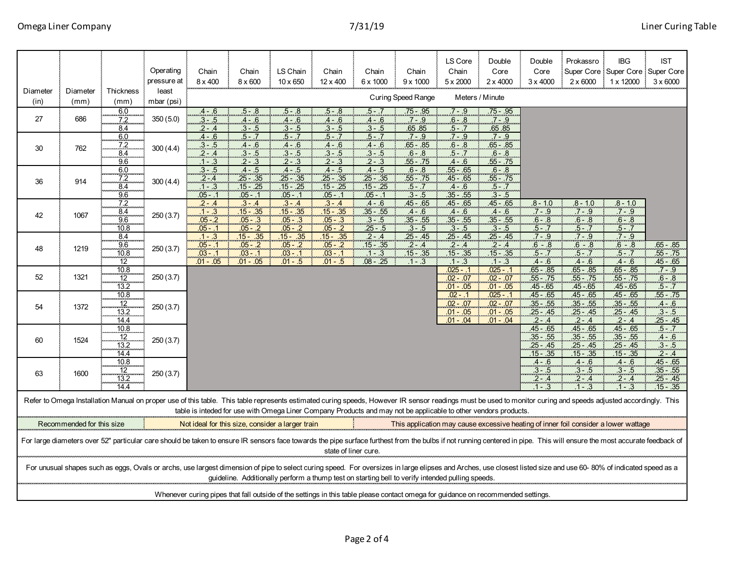| Diameter                                                                                                                                                                                                                                                                                                                          | Diameter                  | Thickness                         | Operating<br>pressure at<br>least | Chain<br>$8 \times 400$                              | Chain<br>8 x 600                                      | LS Chain<br>$10 \times 650$                             | Chain<br>12 x 400                                       | Chain<br>6 x 1000                                    | Chain<br>$9 \times 1000$                             | LS Core<br>Chain<br>$5 \times 2000$                   | Double<br>Core<br>$2 \times 4000$                        | Double<br>Core<br>$3 \times 4000$                        | Prokassro<br>$2 \times 6000$                          | <b>IBG</b><br>Super Core Super Core Super Core<br>$1 \times 12000$                  | <b>IST</b><br>$3 \times 6000$<br>÷                     |
|-----------------------------------------------------------------------------------------------------------------------------------------------------------------------------------------------------------------------------------------------------------------------------------------------------------------------------------|---------------------------|-----------------------------------|-----------------------------------|------------------------------------------------------|-------------------------------------------------------|---------------------------------------------------------|---------------------------------------------------------|------------------------------------------------------|------------------------------------------------------|-------------------------------------------------------|----------------------------------------------------------|----------------------------------------------------------|-------------------------------------------------------|-------------------------------------------------------------------------------------|--------------------------------------------------------|
| (in)                                                                                                                                                                                                                                                                                                                              | (mm)                      | (mm)                              | mbar (psi)                        |                                                      |                                                       |                                                         |                                                         |                                                      | <b>Curing Speed Range</b>                            |                                                       | Meters / Minute                                          |                                                          |                                                       |                                                                                     |                                                        |
| 27                                                                                                                                                                                                                                                                                                                                | 686                       | 6.0<br>7.2<br>8.4                 | 350(5.0)                          | $.4 - .6$<br>$.3 - .5$<br>2 - .4                     | .5 - .8<br>$.4 - .6$<br>$3 - .5$                      | $.5 - .8$<br>$4 - .6$<br>$.3 - .5$                      | $.5 - .8$<br>$.4 - .6$<br>.3 - .5                       | .5 - .7<br>$4 - 6$<br>$3 - .5$                       | $75 - .95$<br>$.7 - .9$<br>65.85                     | $7 - .9$<br>$.6 - .8$<br>5 - .7                       | $75 - 0.95$<br>$.7 - .9$<br>.65.85                       |                                                          |                                                       |                                                                                     |                                                        |
| 30                                                                                                                                                                                                                                                                                                                                | 762                       | $\frac{6.0}{7.2}$<br>8.4<br>9.6   | 300(4.4)                          | $4 - .6$<br>$\frac{.3 - .5}{.2 - .4}$<br>$.1 - .3$   | $5 - 7$<br>.4 - .6<br>.3 - .5<br>$2 - 3$              | $5 - 7$<br>$\frac{4 - .6}{0.3 - .5}$<br>$2 - 3$         | $.5 - .7$<br>$\frac{4 - .6}{.3 - .5}$<br>$2 - .3$       | $.5 - .7$<br>$\frac{4 - .6}{3 - .5}$<br>$2 - 3$      | $.7 - .9$<br>$\frac{65 - .85}{6 - .8}$<br>$55 - .75$ | $7 - 9$<br>$rac{6 - .8}{5 - .7}$<br>$.4 - .6$         | $7 - 9$<br>$\frac{.65 - .85}{.6 - .8}$<br>$.55 - .75$    |                                                          |                                                       |                                                                                     |                                                        |
| 36                                                                                                                                                                                                                                                                                                                                | 914                       | $\frac{6.0}{7.2}$<br>8.4<br>9.6   | 300(4.4)                          | $.3 - .5$<br>$2 - 4$<br>$1 - .3$<br>.05 - .1         | $.4 - .5$<br>$.25 - .35$<br>$.15 - .25$<br>.05 -      | $.4 - .5$<br>.25 - .35<br>$15 - .25$<br>$.05 -$         | $.4 - .5$<br>$.25 - .35$<br>$15 - .25$<br>.05 - .1      | $.4 - .5$<br>$.25 - .35$<br>$.15 - .25$<br>$.05 -$   | $.6 - .8$<br>$.55 - .75$<br>$.5 - .7$<br>$.3 - .5$   | $.55 - .65$<br>$45 - .65$<br>$.4 - .6$<br>$.35 - .55$ | $.6 - .8$<br>$.55 - .75$<br>$.5 - .7$<br>.3 - .5         |                                                          |                                                       |                                                                                     |                                                        |
| 42                                                                                                                                                                                                                                                                                                                                | 1067                      | 7.2<br>$\frac{8.4}{9.6}$<br>10.8  | 250(3.7)                          | $3 - 4$<br>$1 - .3$<br>$.05 - .2$<br>$.05 - .1$      | $\frac{.3 - .4}{.15 - .35}$<br>05 - .3<br>$.05 -$     | $3 - 4$<br>$15 - .35$<br>$.05 - .3$<br>$.05 - .2$       | $\frac{3 - .4}{15 - .35}$<br>05 - .35<br>$.05 - .2$     | $rac{4-6}{35-55}$<br>$rac{3-55}{3-5}$<br>$25 - .5$   | $45 - .65$<br>$4 - 6$<br>$35 - .55$<br>$.3 - .5$     | $.45 - .65$<br>$.4 - .6$<br>$.35 - .55$<br>$.3 - .5$  | $45 - .65$<br>$\frac{4-6}{35-55}$<br>$.3 - .5$           | $rac{0.8 - 1.0}{0.7 - 0.8}$<br>$5 - .7$                  | $\frac{.8 - 1.0}{.7 - .9}$<br>$.6 - .8$<br>$.5 - .7$  | $\frac{0.8 - 1.0}{7 - 0.9}$<br>$6 - 8$<br>$.5 - .7$                                 |                                                        |
| 48                                                                                                                                                                                                                                                                                                                                | 1219                      | 8.4<br>9.6<br>10.8<br>12          | 250(3.7)                          | $.1 - .3$<br>$.05 - .1$<br>$.03 - .1$<br>$.01 - .05$ | $15 -$<br>.35<br>$.05 - .2$<br>$.03 -$<br>$.01 - .05$ | $15 -$<br>.35<br>$.05 - .2$<br>$.03 - .1$<br>$.01 - .5$ | $15 -$<br>.35<br>$.05 - .2$<br>$.03 - .1$<br>$.01 - .5$ | $.2 - .4$<br>$.15 - .35$<br>$.1 - .3$<br>$.08 - .25$ | $.25 - .45$<br>$.2 - .4$<br>$.15 - .35$<br>$.1 - .3$ | $.25 - .45$<br>$.2 - .4$<br>$.15 - .35$<br>$.1 - .3$  | $25 - .45$<br>$.2 - .4$<br>$15 - .35$<br>$.1 - .3$       | $7 - 9$<br>$6 - .8$<br>$5 - 7$<br>$.4 - .6$              | $.7 - .9$<br>$6 - 8$<br>$.5 - .7$<br>$.4 - .6$        | $\frac{7-9}{6-8}$<br>$.5 - .7$<br>$.4 - .6$                                         | $65 - 85$<br>$.55 - .75$<br>$45 - 65$                  |
| 52                                                                                                                                                                                                                                                                                                                                | 1321                      | 10.8<br>12<br>13.2                | 250(3.7)                          |                                                      |                                                       |                                                         |                                                         |                                                      |                                                      | $.025 - .1$<br>$.02 - .07$<br>$.01 - .05$             | $.025 - .1$<br>$.02 - .07$<br>$01 - 05$                  | $.65 - .85$<br>$.55 - .75$<br>$.45 - .65$                | $.65 - .85$<br>$55 - .75$<br>$.45 - .65$              | $.65 - .85$<br>$.55 - .75$<br>$45 - 65$                                             | $.7 - .9$<br>$6 - 8$<br>$5 - 7$                        |
| 54                                                                                                                                                                                                                                                                                                                                | 1372                      | 10.8<br>$\frac{12}{13.2}$<br>14.4 | 250(3.7)                          |                                                      |                                                       |                                                         |                                                         |                                                      |                                                      | $.02 - .1$<br>$02 - 07$<br>$.01 - .05$<br>$.01 - .04$ | $.025 - .1$<br>$.02 - .07$<br>$.01 - .05$<br>$.01 - .04$ | $.45 - .65$<br>$35 - 55$<br>$.25 - .45$<br>$.2 - 4$      | $45 - .65$<br>$.35 - .55$<br>$.25 - .45$<br>$.2 - .4$ | $45 - .65$<br>$35 - .55$<br>$.25 - .45$<br>$.2 - .4$                                | $.55 - .75$<br>$4 - 6$<br>$.3 - .5$<br>$.25 - .45$     |
| 60                                                                                                                                                                                                                                                                                                                                | 1524                      | 10.8<br>12<br>13.2<br>14.4        | 250(3.7)                          |                                                      |                                                       |                                                         |                                                         |                                                      |                                                      |                                                       |                                                          | $.45 - .65$<br>$.35 - .55$<br>$.25 - .45$<br>$.15 - .35$ | $45 - 65$<br>$.35 - .55$<br>25 - 45<br>$15 - .35$     | $.45 - .65$<br>$.35 - .55$<br>25 - 45<br>$15 - .35$                                 | $.5 - .7$<br>$4 - 6$<br>$3 - 5$<br>$2 - 4$             |
| 63                                                                                                                                                                                                                                                                                                                                | 1600                      | 10.8<br>12<br>13.2<br>144         | 250(3.7)                          |                                                      |                                                       |                                                         |                                                         |                                                      |                                                      |                                                       |                                                          | $.4 - .6$<br>$3 - .5$<br>$.2 - .4$<br>$1 - 3$            | $.4 - .6$<br>$3 - 5$<br>$.2 - .4$<br>$1 - 3$          | $4 - 6$<br>$.3 - .5$<br>$.2 - .4$<br>$1 - 3$                                        | $.45 - .65$<br>$.35 - .55$<br>$25 - 45$<br>$.15 - .35$ |
| Refer to Omega Installation Manual on proper use of this table. This table represents estimated curing speeds, However IR sensor readings must be used to monitor curing and speeds adjusted accordingly. This<br>table is inteded for use with Omega Liner Company Products and may not be applicable to other vendors products. |                           |                                   |                                   |                                                      |                                                       |                                                         |                                                         |                                                      |                                                      |                                                       |                                                          |                                                          |                                                       |                                                                                     |                                                        |
|                                                                                                                                                                                                                                                                                                                                   | Recommended for this size |                                   |                                   | Not ideal for this size, consider a larger train     |                                                       |                                                         |                                                         |                                                      |                                                      |                                                       |                                                          |                                                          |                                                       | This application may cause excessive heating of inner foil consider a lower wattage |                                                        |
| For large diameters over 52" particular care should be taken to ensure IR sensors face towards the pipe surface furthest from the bulbs if not running centered in pipe. This will ensure the most accurate feedback of<br>state of liner cure.                                                                                   |                           |                                   |                                   |                                                      |                                                       |                                                         |                                                         |                                                      |                                                      |                                                       |                                                          |                                                          |                                                       |                                                                                     |                                                        |
| For unusual shapes such as eggs, Ovals or archs, use largest dimension of pipe to select curing speed. For oversizes in large elipses and Arches, use closest listed size and use 60-80% of indicated speed as a<br>guideline. Additionally perform a thump test on starting bell to verify intended pulling speeds.              |                           |                                   |                                   |                                                      |                                                       |                                                         |                                                         |                                                      |                                                      |                                                       |                                                          |                                                          |                                                       |                                                                                     |                                                        |
| Whenever curing pipes that fall outside of the settings in this table please contact omega for guidance on recommended settings.                                                                                                                                                                                                  |                           |                                   |                                   |                                                      |                                                       |                                                         |                                                         |                                                      |                                                      |                                                       |                                                          |                                                          |                                                       |                                                                                     |                                                        |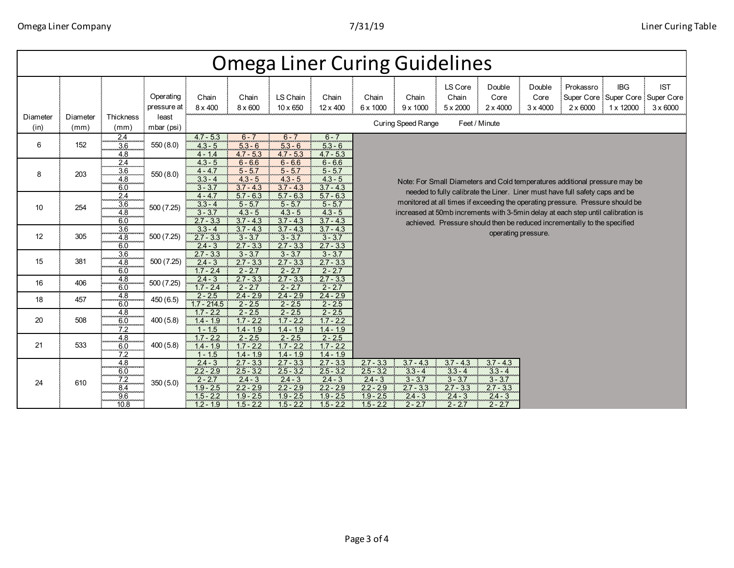| <b>Omega Liner Curing Guidelines</b> |                  |                                                |                          |                                                                                    |                                                                                      |                                                                                      |                                                                                      |                                                                                                                                                                                                                                                                                                                                |                                                                                |                                                                                |                                                                                |                                   |                              |                                                                  |                               |
|--------------------------------------|------------------|------------------------------------------------|--------------------------|------------------------------------------------------------------------------------|--------------------------------------------------------------------------------------|--------------------------------------------------------------------------------------|--------------------------------------------------------------------------------------|--------------------------------------------------------------------------------------------------------------------------------------------------------------------------------------------------------------------------------------------------------------------------------------------------------------------------------|--------------------------------------------------------------------------------|--------------------------------------------------------------------------------|--------------------------------------------------------------------------------|-----------------------------------|------------------------------|------------------------------------------------------------------|-------------------------------|
|                                      |                  |                                                | Operating<br>pressure at | Chain<br>8 x 400                                                                   | Chain<br>8 x 600                                                                     | LS Chain<br>$10 \times 650$                                                          | Chain<br>12 x 400                                                                    | Chain<br>6 x 1000                                                                                                                                                                                                                                                                                                              | Chain<br>$9 \times 1000$                                                       | LS Core<br>Chain<br>$5 \times 2000$                                            | Double<br>Core<br>$2 \times 4000$                                              | Double<br>Core<br>$3 \times 4000$ | Prokassro<br>$2 \times 6000$ | <b>IBG</b><br>Super Core Super Core Super Core<br>1 x 12000<br>÷ | <b>IST</b><br>$3 \times 6000$ |
| Diameter<br>(in)                     | Diameter<br>(mm) | Thickness<br>(mm)                              | least<br>mbar (psi)      |                                                                                    | <b>Curing Speed Range</b><br>Feet / Minute                                           |                                                                                      |                                                                                      |                                                                                                                                                                                                                                                                                                                                |                                                                                |                                                                                |                                                                                |                                   |                              |                                                                  |                               |
| 6                                    | 152              | $\frac{2.4}{3.6}$<br>4.8                       | 550 (8.0)                | $4.7 - 5.3$<br>$4.3 - 5$<br>$4 - 1.4$                                              | $6 - 7$<br>$5.3 - 6$<br>$4.7 - 5.3$                                                  | $6 - 7$<br>$5.3 - 6$<br>$4.7 - 5.3$                                                  | $6 - 7$<br>$5.3 - 6$<br>$4.7 - 5.3$                                                  |                                                                                                                                                                                                                                                                                                                                |                                                                                |                                                                                |                                                                                |                                   |                              |                                                                  |                               |
| 8                                    | 203              | $\overline{2.4}$<br>3.6<br>4.8<br>6.0          | 550(8.0)                 | $4.3 - 5$<br>$4 - 4.7$<br>$3.3 - 4$<br>$3 - 3.7$                                   | $6 - 6.6$<br>$5 - 5.7$<br>$4.3 - 5$<br>$3.7 - 4.3$                                   | $6 - 6.6$<br>$5 - 5.7$<br>$4.3 - 5$<br>$3.7 - 4.3$                                   | $6 - 6.6$<br>$5 - 5.7$<br>$4.3 - 5$<br>$3.7 - 4.3$                                   |                                                                                                                                                                                                                                                                                                                                |                                                                                | Note: For Small Diameters and Cold temperatures additional pressure may be     |                                                                                |                                   |                              |                                                                  |                               |
| 10                                   | 254              | 2.4<br>3.6<br>4.8<br>6.0                       | 500(7.25)                | $4 - 4.7$<br>$3.3 - 4$<br>$3 - 3.7$<br>$2.7 - 3.3$                                 | $5.7 - 6.3$<br>$5 - 5.7$<br>$4.3 - 5$<br>$3.7 - 4.3$                                 | $5.7 - 6.3$<br>$5 - 5.7$<br>$4.3 - 5$<br>$3.7 - 4.3$                                 | $5.7 - 6.3$<br>$5 - 5.7$<br>$4.3 - 5$<br>$3.7 - 4.3$                                 | needed to fully calibrate the Liner. Liner must have full safety caps and be<br>monitored at all times if exceeding the operating pressure. Pressure should be<br>increased at 50mb increments with 3-5min delay at each step until calibration is<br>achieved. Pressure should then be reduced incrementally to the specified |                                                                                |                                                                                |                                                                                |                                   |                              |                                                                  |                               |
| 12                                   | 305              | $\overline{3.6}$<br>4.8<br>6.0                 | 500 (7.25)               | $3.3 - 4$<br>$2.7 - 3.3$<br>$2.4 - 3$                                              | $3.7 - 4.3$<br>$3 - 3.7$<br>$2.7 - 3.3$                                              | $3.7 - 4.3$<br>$3 - 3.7$<br>$2.7 - 3.3$                                              | $3.7 - 4.3$<br>$3 - 3.7$<br>$2.7 - 3.3$                                              |                                                                                                                                                                                                                                                                                                                                |                                                                                |                                                                                |                                                                                | operating pressure.               |                              |                                                                  |                               |
| 15                                   | 381              | $\overline{3.6}$<br>4.8<br>6.0                 | 500 (7.25)               | $2.7 - 3.3$<br>$2.4 - 3$<br>$1.7 - 2.4$                                            | $3 - 3.7$<br>$2.7 - 3.3$<br>$2 - 2.7$                                                | $3 - 3.7$<br>$2.7 - 3.3$<br>2 - 2.7                                                  | $3 - 3.7$<br>$2.7 - 3.3$<br>$2 - 2.7$                                                |                                                                                                                                                                                                                                                                                                                                |                                                                                |                                                                                |                                                                                |                                   |                              |                                                                  |                               |
| 16                                   | 406              | $\frac{4.8}{6.0}$                              | 500 (7.25)               | $2.4 - 3$<br>$1.7 - 2.4$                                                           | $2.7 - 3.3$<br>$2 - 2.7$                                                             | $2.7 - 3.3$<br>$2 - 2.7$                                                             | $2.7 - 3.3$<br>$2 - 2.7$                                                             |                                                                                                                                                                                                                                                                                                                                |                                                                                |                                                                                |                                                                                |                                   |                              |                                                                  |                               |
| 18                                   | 457              | $\frac{4.8}{6.0}$                              | 450 (6.5)                | $2 - 2.5$<br>$1.7 - 214.5$                                                         | $2.4 - 2.9$<br>$2 - 2.5$                                                             | $2.4 - 2.9$<br>$2 - 2.5$                                                             | $2.4 - 2.9$<br>$2 - 2.5$                                                             |                                                                                                                                                                                                                                                                                                                                |                                                                                |                                                                                |                                                                                |                                   |                              |                                                                  |                               |
| 20                                   | 508              | 4.8<br>$6.0$<br>$7.2$                          | 400(5.8)                 | $1.7 - 2.2$<br>$1.4 - 1.9$<br>$1 - 1.5$                                            | $2 - 2.5$<br>$1.7 - 2.2$<br>$1.4 - 1.9$                                              | $2 - 2.5$<br>$1.7 - 2.2$<br>$1.4 - 1.9$                                              | $2 - 2.5$<br>$1.7 - 2.2$<br>$1.4 - 1.9$                                              |                                                                                                                                                                                                                                                                                                                                |                                                                                |                                                                                |                                                                                |                                   |                              |                                                                  |                               |
| 21                                   | 533              | $\frac{4.8}{6.0}$<br>7.2                       | 400(5.8)                 | $1.7 - 2.2$<br>$1.4 - 1.9$<br>$1 - 1.5$                                            | $2 - 2.5$<br>$1.7 - 2.2$<br>$1.4 - 1.9$                                              | $2 - 2.5$<br>$1.7 - 2.2$<br>$1.4 - 1.9$                                              | $2 - 2.5$<br>$1.7 - 2.2$<br>$1.4 - 1.9$                                              |                                                                                                                                                                                                                                                                                                                                |                                                                                |                                                                                |                                                                                |                                   |                              |                                                                  |                               |
| 24                                   | 610              | $\frac{4.8}{6.0}$<br>7.2<br>8.4<br>9.6<br>10.8 | 350(5.0)                 | $2.4 - 3$<br>$2.2 - 2.9$<br>$2 - 2.7$<br>$1.9 - 2.5$<br>$1.5 - 2.2$<br>$1.2 - 1.9$ | $2.7 - 3.3$<br>$2.5 - 3.2$<br>$2.4 - 3$<br>$2.2 - 2.9$<br>$1.9 - 2.5$<br>$1.5 - 2.2$ | $2.7 - 3.3$<br>$2.5 - 3.2$<br>$2.4 - 3$<br>$2.2 - 2.9$<br>$1.9 - 2.5$<br>$1.5 - 2.2$ | $2.7 - 3.3$<br>$2.5 - 3.2$<br>$2.4 - 3$<br>$2.2 - 2.9$<br>$1.9 - 2.5$<br>$1.5 - 2.2$ | $2.7 - 3.3$<br>$2.5 - 3.2$<br>$2.4 - 3$<br>$2.2 - 2.9$<br>$1.9 - 2.5$<br>$1.5 - 2.2$                                                                                                                                                                                                                                           | $3.7 - 4.3$<br>$3.3 - 4$<br>$3 - 3.7$<br>$2.7 - 3.3$<br>$2.4 - 3$<br>$2 - 2.7$ | $3.7 - 4.3$<br>$3.3 - 4$<br>$3 - 3.7$<br>$2.7 - 3.3$<br>$2.4 - 3$<br>$2 - 2.7$ | $3.7 - 4.3$<br>$3.3 - 4$<br>$3 - 3.7$<br>$2.7 - 3.3$<br>$2.4 - 3$<br>$2 - 2.7$ |                                   |                              |                                                                  |                               |